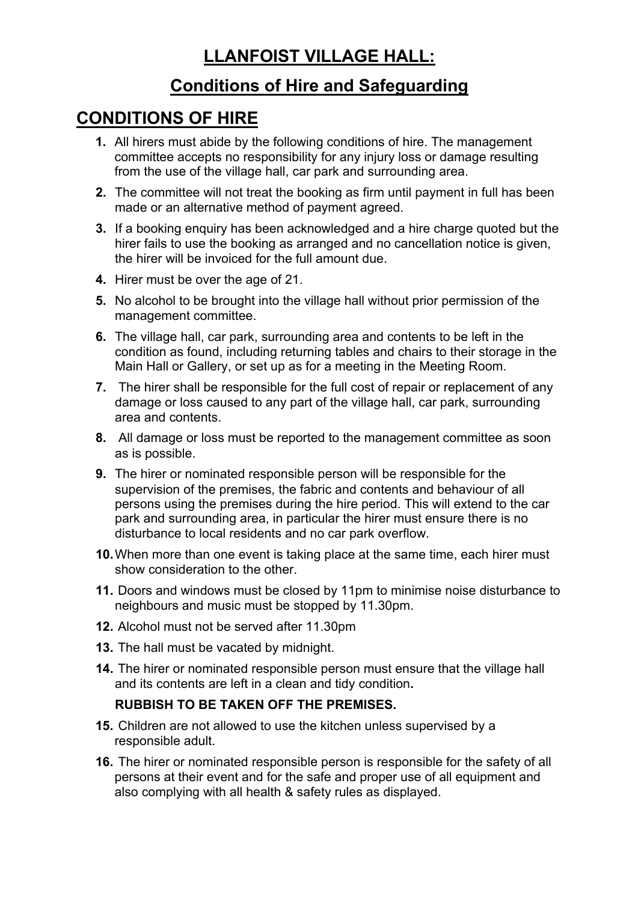## **LLANFOIST VILLAGE HALL:**

### **Conditions of Hire and Safeguarding**

## **CONDITIONS OF HIRE**

- **1.** All hirers must abide by the following conditions of hire. The management committee accepts no responsibility for any injury loss or damage resulting from the use of the village hall, car park and surrounding area.
- **2.** The committee will not treat the booking as firm until payment in full has been made or an alternative method of payment agreed.
- **3.** If a booking enquiry has been acknowledged and a hire charge quoted but the hirer fails to use the booking as arranged and no cancellation notice is given, the hirer will be invoiced for the full amount due.
- **4.** Hirer must be over the age of 21.
- **5.** No alcohol to be brought into the village hall without prior permission of the management committee.
- **6.** The village hall, car park, surrounding area and contents to be left in the condition as found, including returning tables and chairs to their storage in the Main Hall or Gallery, or set up as for a meeting in the Meeting Room.
- **7.** The hirer shall be responsible for the full cost of repair or replacement of any damage or loss caused to any part of the village hall, car park, surrounding area and contents.
- **8.** All damage or loss must be reported to the management committee as soon as is possible.
- **9.** The hirer or nominated responsible person will be responsible for the supervision of the premises, the fabric and contents and behaviour of all persons using the premises during the hire period. This will extend to the car park and surrounding area, in particular the hirer must ensure there is no disturbance to local residents and no car park overflow.
- **10.**When more than one event is taking place at the same time, each hirer must show consideration to the other.
- **11.** Doors and windows must be closed by 11pm to minimise noise disturbance to neighbours and music must be stopped by 11.30pm.
- **12.** Alcohol must not be served after 11.30pm
- **13.** The hall must be vacated by midnight.
- **14.** The hirer or nominated responsible person must ensure that the village hall and its contents are left in a clean and tidy condition**.**

#### **RUBBISH TO BE TAKEN OFF THE PREMISES.**

- **15.** Children are not allowed to use the kitchen unless supervised by a responsible adult.
- **16.** The hirer or nominated responsible person is responsible for the safety of all persons at their event and for the safe and proper use of all equipment and also complying with all health & safety rules as displayed.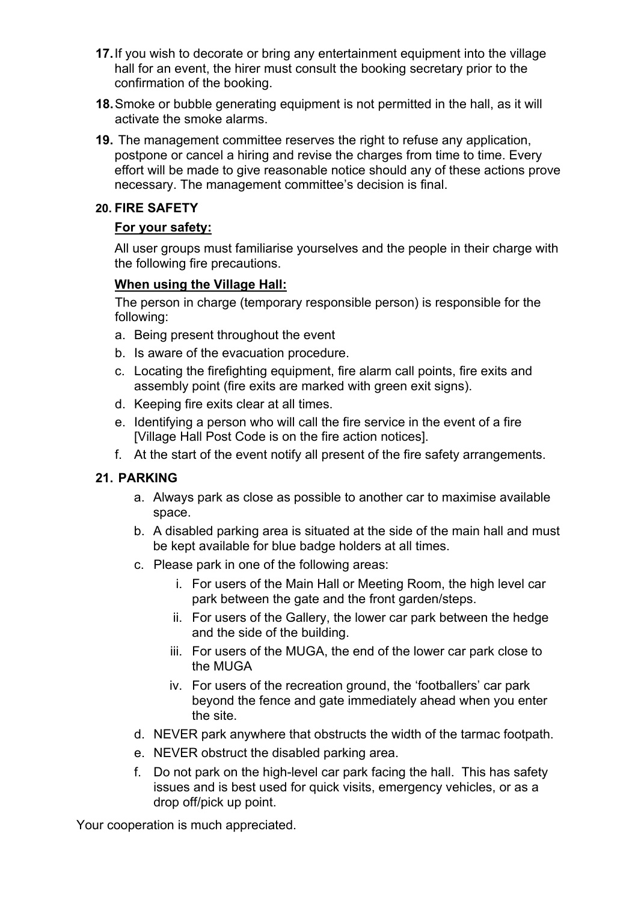- **17.**If you wish to decorate or bring any entertainment equipment into the village hall for an event, the hirer must consult the booking secretary prior to the confirmation of the booking.
- **18.** Smoke or bubble generating equipment is not permitted in the hall, as it will activate the smoke alarms.
- **19.** The management committee reserves the right to refuse any application, postpone or cancel a hiring and revise the charges from time to time. Every effort will be made to give reasonable notice should any of these actions prove necessary. The management committee's decision is final.

#### **20. FIRE SAFETY**

#### **For your safety:**

All user groups must familiarise yourselves and the people in their charge with the following fire precautions.

#### **When using the Village Hall:**

The person in charge (temporary responsible person) is responsible for the following:

- a. Being present throughout the event
- b. Is aware of the evacuation procedure.
- c. Locating the firefighting equipment, fire alarm call points, fire exits and assembly point (fire exits are marked with green exit signs).
- d. Keeping fire exits clear at all times.
- e. Identifying a person who will call the fire service in the event of a fire [Village Hall Post Code is on the fire action notices].
- f. At the start of the event notify all present of the fire safety arrangements.

#### **21. PARKING**

- a. Always park as close as possible to another car to maximise available space.
- b. A disabled parking area is situated at the side of the main hall and must be kept available for blue badge holders at all times.
- c. Please park in one of the following areas:
	- i. For users of the Main Hall or Meeting Room, the high level car park between the gate and the front garden/steps.
	- ii. For users of the Gallery, the lower car park between the hedge and the side of the building.
	- iii. For users of the MUGA, the end of the lower car park close to the MUGA
	- iv. For users of the recreation ground, the 'footballers' car park beyond the fence and gate immediately ahead when you enter the site.
- d. NEVER park anywhere that obstructs the width of the tarmac footpath.
- e. NEVER obstruct the disabled parking area.
- f. Do not park on the high-level car park facing the hall. This has safety issues and is best used for quick visits, emergency vehicles, or as a drop off/pick up point.

Your cooperation is much appreciated.